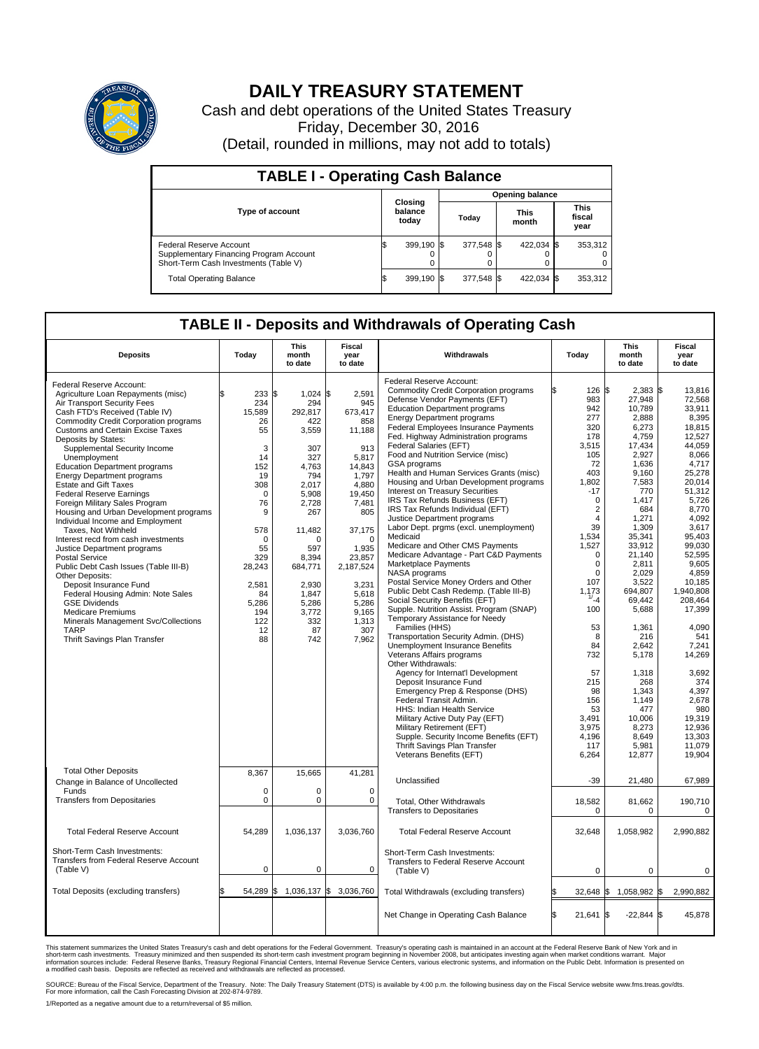

## **DAILY TREASURY STATEMENT**

Cash and debt operations of the United States Treasury Friday, December 30, 2016 (Detail, rounded in millions, may not add to totals)

| <b>TABLE I - Operating Cash Balance</b>                                                                     |  |                             |  |                        |  |                      |  |                               |  |  |
|-------------------------------------------------------------------------------------------------------------|--|-----------------------------|--|------------------------|--|----------------------|--|-------------------------------|--|--|
|                                                                                                             |  | Closing<br>balance<br>today |  | <b>Opening balance</b> |  |                      |  |                               |  |  |
| <b>Type of account</b>                                                                                      |  |                             |  | Today                  |  | <b>This</b><br>month |  | <b>This</b><br>fiscal<br>year |  |  |
| Federal Reserve Account<br>Supplementary Financing Program Account<br>Short-Term Cash Investments (Table V) |  | 399.190 \$                  |  | 377.548 \$             |  | 422.034 \$           |  | 353,312                       |  |  |
| <b>Total Operating Balance</b>                                                                              |  | 399.190 \$                  |  | 377.548 \$             |  | 422,034 \$           |  | 353,312                       |  |  |

## **TABLE II - Deposits and Withdrawals of Operating Cash**

| <b>Deposits</b>                                                                                                                                                                                                                                                                                                                                                                                                                                                                                                                                                                                                                                                                                                                                                                                                                                                                                                | Today                                                                                                                                                                           | <b>This</b><br>month<br>to date                                                                                                                                                                                       | <b>Fiscal</b><br>year<br>to date                                                                                                                                                                                            | Withdrawals                                                                                                                                                                                                                                                                                                                                                                                                                                                                                                                                                                                                                                                                                                                                                                                                                                                                                                                                                                                                                               | Today                                                                                                                                                                                                                                               | <b>This</b><br>month<br>to date                                                                                                                                                                                                                         | <b>Fiscal</b><br>year<br>to date                                                                                                                                                                                                                                  |
|----------------------------------------------------------------------------------------------------------------------------------------------------------------------------------------------------------------------------------------------------------------------------------------------------------------------------------------------------------------------------------------------------------------------------------------------------------------------------------------------------------------------------------------------------------------------------------------------------------------------------------------------------------------------------------------------------------------------------------------------------------------------------------------------------------------------------------------------------------------------------------------------------------------|---------------------------------------------------------------------------------------------------------------------------------------------------------------------------------|-----------------------------------------------------------------------------------------------------------------------------------------------------------------------------------------------------------------------|-----------------------------------------------------------------------------------------------------------------------------------------------------------------------------------------------------------------------------|-------------------------------------------------------------------------------------------------------------------------------------------------------------------------------------------------------------------------------------------------------------------------------------------------------------------------------------------------------------------------------------------------------------------------------------------------------------------------------------------------------------------------------------------------------------------------------------------------------------------------------------------------------------------------------------------------------------------------------------------------------------------------------------------------------------------------------------------------------------------------------------------------------------------------------------------------------------------------------------------------------------------------------------------|-----------------------------------------------------------------------------------------------------------------------------------------------------------------------------------------------------------------------------------------------------|---------------------------------------------------------------------------------------------------------------------------------------------------------------------------------------------------------------------------------------------------------|-------------------------------------------------------------------------------------------------------------------------------------------------------------------------------------------------------------------------------------------------------------------|
| Federal Reserve Account:<br>Agriculture Loan Repayments (misc)<br>Air Transport Security Fees<br>Cash FTD's Received (Table IV)<br><b>Commodity Credit Corporation programs</b><br>Customs and Certain Excise Taxes<br>Deposits by States:<br>Supplemental Security Income<br>Unemployment<br><b>Education Department programs</b><br><b>Energy Department programs</b><br><b>Estate and Gift Taxes</b><br><b>Federal Reserve Earnings</b><br>Foreign Military Sales Program<br>Housing and Urban Development programs<br>Individual Income and Employment<br>Taxes, Not Withheld<br>Interest recd from cash investments<br>Justice Department programs<br><b>Postal Service</b><br>Public Debt Cash Issues (Table III-B)<br>Other Deposits:<br>Deposit Insurance Fund<br>Federal Housing Admin: Note Sales<br><b>GSE Dividends</b><br><b>Medicare Premiums</b><br>Minerals Management Svc/Collections<br>TARP | 233<br>234<br>15,589<br>26<br>55<br>3<br>14<br>152<br>19<br>308<br>$\Omega$<br>76<br>9<br>578<br>$\mathbf 0$<br>55<br>329<br>28,243<br>2,581<br>84<br>5,286<br>194<br>122<br>12 | 1\$<br>$1,024$ \$<br>294<br>292,817<br>422<br>3,559<br>307<br>327<br>4,763<br>794<br>2,017<br>5.908<br>2,728<br>267<br>11,482<br>$\Omega$<br>597<br>8,394<br>684,771<br>2,930<br>1,847<br>5,286<br>3,772<br>332<br>87 | 2,591<br>945<br>673,417<br>858<br>11,188<br>913<br>5,817<br>14,843<br>1.797<br>4,880<br>19,450<br>7,481<br>805<br>37,175<br>$\mathbf 0$<br>1,935<br>23,857<br>2,187,524<br>3,231<br>5,618<br>5,286<br>9,165<br>1,313<br>307 | Federal Reserve Account:<br><b>Commodity Credit Corporation programs</b><br>Defense Vendor Payments (EFT)<br><b>Education Department programs</b><br><b>Energy Department programs</b><br><b>Federal Employees Insurance Payments</b><br>Fed. Highway Administration programs<br>Federal Salaries (EFT)<br>Food and Nutrition Service (misc)<br>GSA programs<br>Health and Human Services Grants (misc)<br>Housing and Urban Development programs<br><b>Interest on Treasury Securities</b><br>IRS Tax Refunds Business (EFT)<br>IRS Tax Refunds Individual (EFT)<br>Justice Department programs<br>Labor Dept. prgms (excl. unemployment)<br>Medicaid<br>Medicare and Other CMS Payments<br>Medicare Advantage - Part C&D Payments<br>Marketplace Payments<br>NASA programs<br>Postal Service Money Orders and Other<br>Public Debt Cash Redemp. (Table III-B)<br>Social Security Benefits (EFT)<br>Supple. Nutrition Assist. Program (SNAP)<br>Temporary Assistance for Needy<br>Families (HHS)<br>Transportation Security Admin. (DHS) | 126S<br>983<br>942<br>277<br>320<br>178<br>3,515<br>105<br>72<br>403<br>1,802<br>-17<br>$\Omega$<br>$\overline{2}$<br>$\overline{4}$<br>39<br>1,534<br>1,527<br>$\mathbf 0$<br>$\mathbf 0$<br>$\mathbf 0$<br>107<br>1,173<br>$-4$<br>100<br>53<br>8 | $2,383$ \$<br>27,948<br>10.789<br>2,888<br>6,273<br>4,759<br>17,434<br>2,927<br>1.636<br>9,160<br>7,583<br>770<br>1,417<br>684<br>1,271<br>1,309<br>35,341<br>33,912<br>21,140<br>2,811<br>2,029<br>3,522<br>694,807<br>69,442<br>5,688<br>1,361<br>216 | 13,816<br>72,568<br>33.911<br>8,395<br>18,815<br>12,527<br>44.059<br>8,066<br>4,717<br>25,278<br>20.014<br>51,312<br>5,726<br>8,770<br>4,092<br>3,617<br>95,403<br>99,030<br>52,595<br>9.605<br>4,859<br>10.185<br>1,940,808<br>208,464<br>17,399<br>4,090<br>541 |
| Thrift Savings Plan Transfer                                                                                                                                                                                                                                                                                                                                                                                                                                                                                                                                                                                                                                                                                                                                                                                                                                                                                   | 88                                                                                                                                                                              | 742                                                                                                                                                                                                                   | 7,962                                                                                                                                                                                                                       | <b>Unemployment Insurance Benefits</b><br>Veterans Affairs programs<br>Other Withdrawals:<br>Agency for Internat'l Development<br>Deposit Insurance Fund<br>Emergency Prep & Response (DHS)<br>Federal Transit Admin.<br>HHS: Indian Health Service<br>Military Active Duty Pay (EFT)<br>Military Retirement (EFT)<br>Supple. Security Income Benefits (EFT)<br>Thrift Savings Plan Transfer<br>Veterans Benefits (EFT)                                                                                                                                                                                                                                                                                                                                                                                                                                                                                                                                                                                                                   | 84<br>732<br>57<br>215<br>98<br>156<br>53<br>3.491<br>3,975<br>4.196<br>117<br>6,264                                                                                                                                                                | 2,642<br>5,178<br>1,318<br>268<br>1,343<br>1,149<br>477<br>10,006<br>8,273<br>8.649<br>5,981<br>12,877                                                                                                                                                  | 7,241<br>14,269<br>3,692<br>374<br>4,397<br>2,678<br>980<br>19,319<br>12,936<br>13,303<br>11,079<br>19,904                                                                                                                                                        |
| <b>Total Other Deposits</b><br>Change in Balance of Uncollected<br>Funds                                                                                                                                                                                                                                                                                                                                                                                                                                                                                                                                                                                                                                                                                                                                                                                                                                       | 8,367<br>$\Omega$                                                                                                                                                               | 15,665<br>$\Omega$                                                                                                                                                                                                    | 41,281<br>$\Omega$                                                                                                                                                                                                          | Unclassified                                                                                                                                                                                                                                                                                                                                                                                                                                                                                                                                                                                                                                                                                                                                                                                                                                                                                                                                                                                                                              | $-39$                                                                                                                                                                                                                                               | 21,480                                                                                                                                                                                                                                                  | 67,989                                                                                                                                                                                                                                                            |
| <b>Transfers from Depositaries</b>                                                                                                                                                                                                                                                                                                                                                                                                                                                                                                                                                                                                                                                                                                                                                                                                                                                                             | $\pmb{0}$                                                                                                                                                                       | 0                                                                                                                                                                                                                     | $\mathbf 0$                                                                                                                                                                                                                 | Total, Other Withdrawals<br><b>Transfers to Depositaries</b>                                                                                                                                                                                                                                                                                                                                                                                                                                                                                                                                                                                                                                                                                                                                                                                                                                                                                                                                                                              | 18,582<br>$\mathbf 0$                                                                                                                                                                                                                               | 81,662<br>0                                                                                                                                                                                                                                             | 190,710<br>0                                                                                                                                                                                                                                                      |
| <b>Total Federal Reserve Account</b>                                                                                                                                                                                                                                                                                                                                                                                                                                                                                                                                                                                                                                                                                                                                                                                                                                                                           | 54,289                                                                                                                                                                          | 1,036,137                                                                                                                                                                                                             | 3,036,760                                                                                                                                                                                                                   | <b>Total Federal Reserve Account</b>                                                                                                                                                                                                                                                                                                                                                                                                                                                                                                                                                                                                                                                                                                                                                                                                                                                                                                                                                                                                      | 32,648                                                                                                                                                                                                                                              | 1,058,982                                                                                                                                                                                                                                               | 2,990,882                                                                                                                                                                                                                                                         |
| Short-Term Cash Investments:<br>Transfers from Federal Reserve Account<br>(Table V)                                                                                                                                                                                                                                                                                                                                                                                                                                                                                                                                                                                                                                                                                                                                                                                                                            | $\mathbf 0$                                                                                                                                                                     | 0                                                                                                                                                                                                                     | 0                                                                                                                                                                                                                           | Short-Term Cash Investments:<br>Transfers to Federal Reserve Account<br>(Table V)                                                                                                                                                                                                                                                                                                                                                                                                                                                                                                                                                                                                                                                                                                                                                                                                                                                                                                                                                         | $\mathbf 0$                                                                                                                                                                                                                                         | $\mathbf 0$                                                                                                                                                                                                                                             | $\mathbf 0$                                                                                                                                                                                                                                                       |
| Total Deposits (excluding transfers)                                                                                                                                                                                                                                                                                                                                                                                                                                                                                                                                                                                                                                                                                                                                                                                                                                                                           | 54,289<br>\$                                                                                                                                                                    | 1,036,137 \$<br>\$                                                                                                                                                                                                    | 3,036,760                                                                                                                                                                                                                   | Total Withdrawals (excluding transfers)                                                                                                                                                                                                                                                                                                                                                                                                                                                                                                                                                                                                                                                                                                                                                                                                                                                                                                                                                                                                   | $32,648$ \$<br>I\$                                                                                                                                                                                                                                  | 1,058,982 \$                                                                                                                                                                                                                                            | 2,990,882                                                                                                                                                                                                                                                         |
|                                                                                                                                                                                                                                                                                                                                                                                                                                                                                                                                                                                                                                                                                                                                                                                                                                                                                                                |                                                                                                                                                                                 |                                                                                                                                                                                                                       |                                                                                                                                                                                                                             | Net Change in Operating Cash Balance                                                                                                                                                                                                                                                                                                                                                                                                                                                                                                                                                                                                                                                                                                                                                                                                                                                                                                                                                                                                      | l\$<br>$21,641$ \$                                                                                                                                                                                                                                  | $-22,844$ \$                                                                                                                                                                                                                                            | 45,878                                                                                                                                                                                                                                                            |

This statement summarizes the United States Treasury's cash and debt operations for the Federal Government. Treasury's operating cash is maintained in an account at the Federal Reserve Bank of New York and in<br>short-term ca

SOURCE: Bureau of the Fiscal Service, Department of the Treasury. Note: The Daily Treasury Statement (DTS) is available by 4:00 p.m. the following business day on the Fiscal Service website www.fms.treas.gov/dts.<br>For more

1/Reported as a negative amount due to a return/reversal of \$5 million.